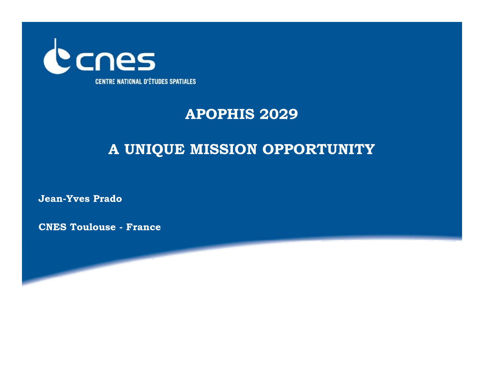

### **APOPHIS 2029**

## **A UNIQUE MISSION OPPORTUNITY**

**Jean-Yves Prado** 

**CNES Toulouse - France**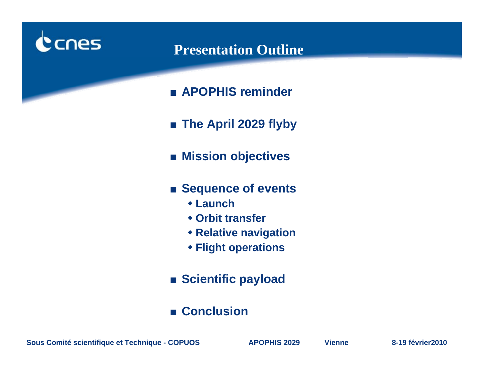

#### **Presentation Outline**

- **APOPHIS reminder**
- **The April 2029 flyby**
- **Mission objectives**
- **Sequence of events** 
	- **Launch**
	- **Orbit transfer**
	- **Relative navigation**
	- **Flight operations**
- **Scientific payload**
- **Conclusion**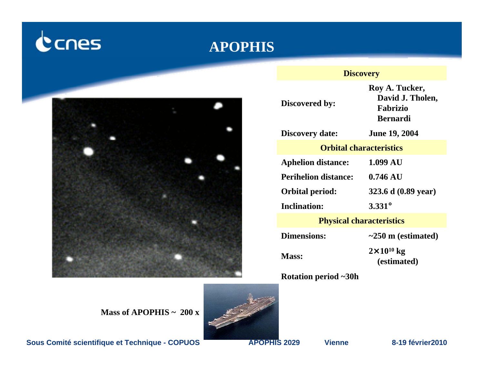# cnes

#### **APOPHIS**



#### **Discovery**

**Discovered by:**

**Roy A. Tucker, David J. Tholen, Fabrizio Bernardi**

**Discovery date: June 19, 2004**

#### **Orbital characteristics**

**Aphelion distance: 1.099 AU**

**Perihelion distance:**

**Inclination:**

**Orbital period: 323.6 d (0.89 year)**

**0.746 AU**

**3.331°**

**Physical characteristics**

**Dimensions:**

**~250 m (estimated)**

 $2 \times 10^{10}$  kg Mass:  $\frac{2 \times 10^{8} \text{ kg}}{(\text{estimated})}$ 

**Rotation period ~30h**

**Mass of APOPHIS ~ 200 x** 



**Sous Comité scientifique et Technique - COPUOS APOPHIS 2029 Vienne 8-19 février2010**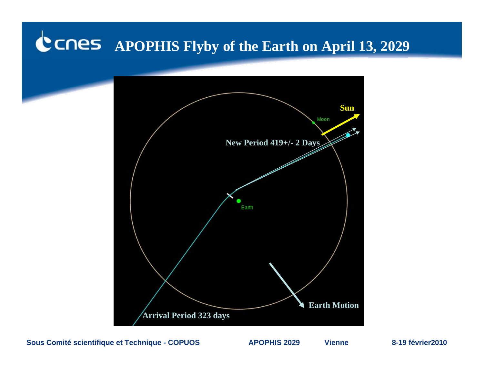# **APOPHIS Flyby of the Earth on April 13, 2029**

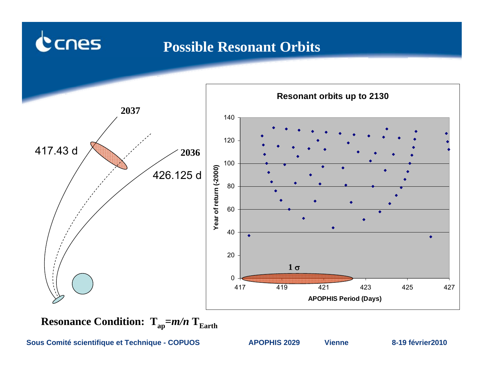### **Possible Resonant Orbits**



**Resonance Condition:**  $T_{ap} = m/n$   $T_{Earth}$ 

**Sous Comité scientifique et Technique - COPUOS APOPHIS 2029 Vienne 8-19 février2010**

cnes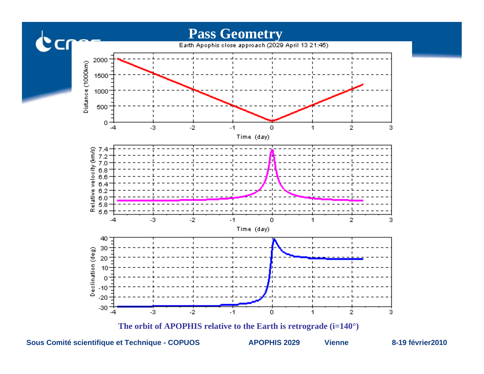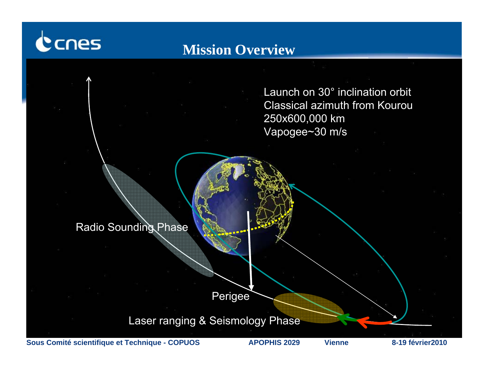

### **Mission Overview**

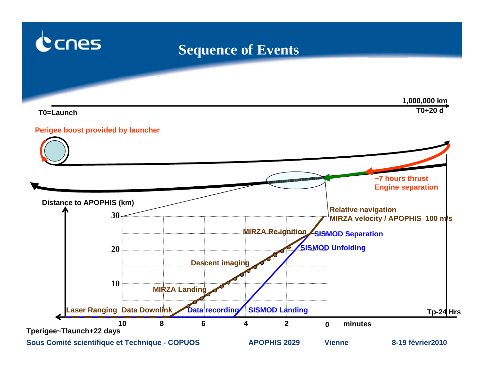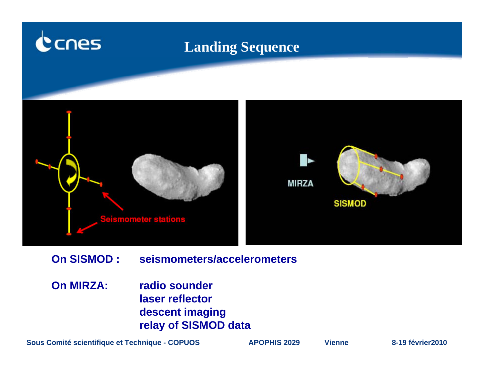

- **On SISMOD : seismometers/accelerometers**
- **On MIRZA: radio sounder laser reflector descent imaging relay of SISMOD data**

**Sous Comité scientifique et Technique - COPUOS APOPHIS 2029 Vienne 8-19 février2010**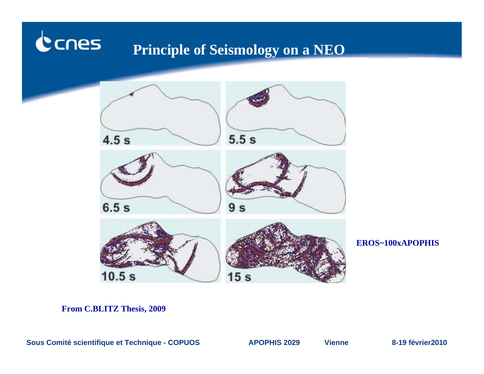#### cnes **Principle of Seismology on a NEO**



**EROS~100xAPOPHIS**

**From C.BLITZ Thesis, 2009**

**Sous Comité scientifique et Technique - COPUOS APOPHIS 2029 Vienne 8-19 février2010**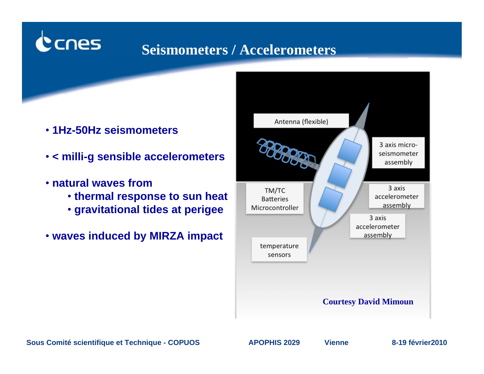# **Seismometers / Accelerometers**

- **1Hz-50Hz seismometers**
- **< milli-g sensible accelerometers**
- **natural waves from**

cnes

- **thermal response to sun heat**
- **gravitational tides at perigee**
- **waves induced by MIRZA impact**

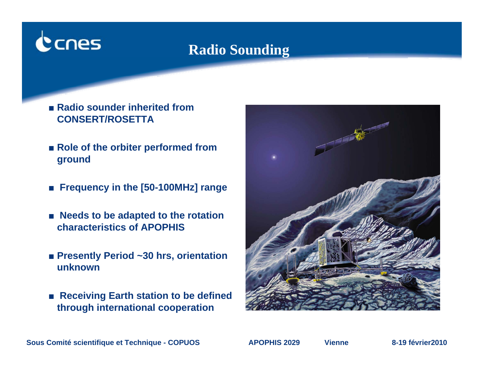# cnes

# **Radio Sounding**

- Radio sounder inherited from **CONSERT/ROSETTA**
- **Role of the orbiter performed from ground**
- **Frequency in the [50-100MHz] range**
- **Needs to be adapted to the rotation characteristics of APOPHIS**
- **Presently Period** ~30 hrs, orientation **unknown**
- **Receiving Earth station to be defined through international cooperation**

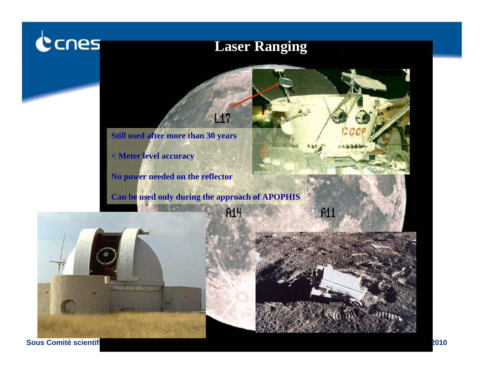# Canes

# **Laser Ranging**







**Sous Comité scientificulture -- 
<b>POPUS** 2010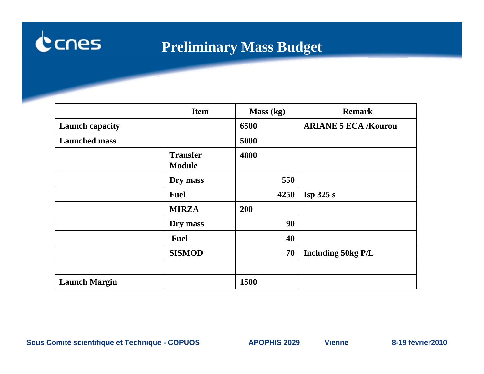

# **Preliminary Mass Budget**

|                        | <b>Item</b>                      | Mass (kg) | <b>Remark</b>               |
|------------------------|----------------------------------|-----------|-----------------------------|
| <b>Launch capacity</b> |                                  | 6500      | <b>ARIANE 5 ECA /Kourou</b> |
| <b>Launched mass</b>   |                                  | 5000      |                             |
|                        | <b>Transfer</b><br><b>Module</b> | 4800      |                             |
|                        | Dry mass                         | 550       |                             |
|                        | <b>Fuel</b>                      | 4250      | Isp 325 s                   |
|                        | <b>MIRZA</b>                     | 200       |                             |
|                        | Dry mass                         | 90        |                             |
|                        | <b>Fuel</b>                      | 40        |                             |
|                        | <b>SISMOD</b>                    | 70        | <b>Including 50kg P/L</b>   |
|                        |                                  |           |                             |
| <b>Launch Margin</b>   |                                  | 1500      |                             |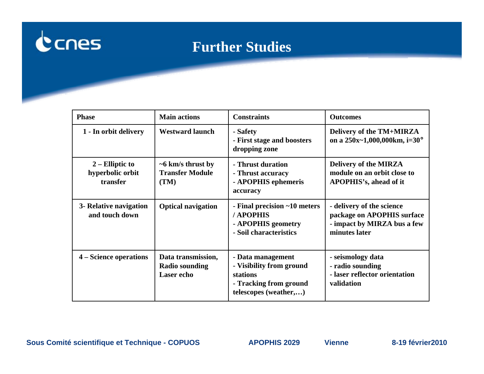

# **Further Studies**

| <b>Phase</b>                                      | <b>Main actions</b>                                              | <b>Constraints</b>                                                                                           | <b>Outcomes</b>                                                                                         |
|---------------------------------------------------|------------------------------------------------------------------|--------------------------------------------------------------------------------------------------------------|---------------------------------------------------------------------------------------------------------|
| 1 - In orbit delivery                             | <b>Westward launch</b>                                           | - Safety<br>- First stage and boosters<br>dropping zone                                                      | Delivery of the TM+MIRZA<br>on a $250x-1,000,000km$ , i=30°                                             |
| $2$ – Elliptic to<br>hyperbolic orbit<br>transfer | $\sim$ 6 km/s thrust by<br><b>Transfer Module</b><br>(TM)        | - Thrust duration<br>- Thrust accuracy<br>- APOPHIS ephemeris<br>accuracy                                    | Delivery of the MIRZA<br>module on an orbit close to<br>APOPHIS's, ahead of it                          |
| 3- Relative navigation<br>and touch down          | <b>Optical navigation</b>                                        | - Final precision ~10 meters<br>/ APOPHIS<br>- APOPHIS geometry<br>- Soil characteristics                    | - delivery of the science<br>package on APOPHIS surface<br>- impact by MIRZA bus a few<br>minutes later |
| 4 – Science operations                            | Data transmission,<br><b>Radio sounding</b><br><b>Laser</b> echo | - Data management<br>- Visibility from ground<br>stations<br>- Tracking from ground<br>telescopes (weather,) | - seismology data<br>- radio sounding<br>- laser reflector orientation<br>validation                    |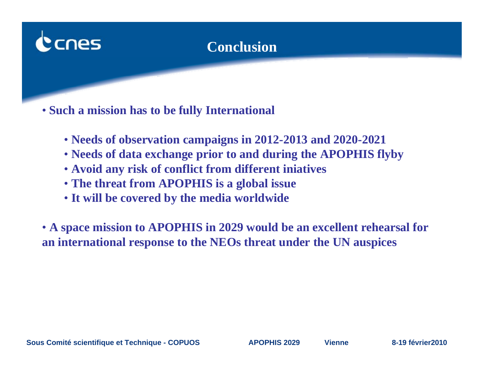

# **Conclusion**

• **Such a mission has to be fully International**

- **Needs of observation campaigns in 2012-2013 and 2020-2021**
- **Needs of data exchange prior to and during the APOPHIS flyby**
- **Avoid any risk of conflict from different iniatives**
- **The threat from APOPHIS is a global issue**
- **It will be covered by the media worldwide**

• **A space mission to APOPHIS in 2029 would be an excellent rehearsal for an international response to the NEOs threat under the UN auspices**